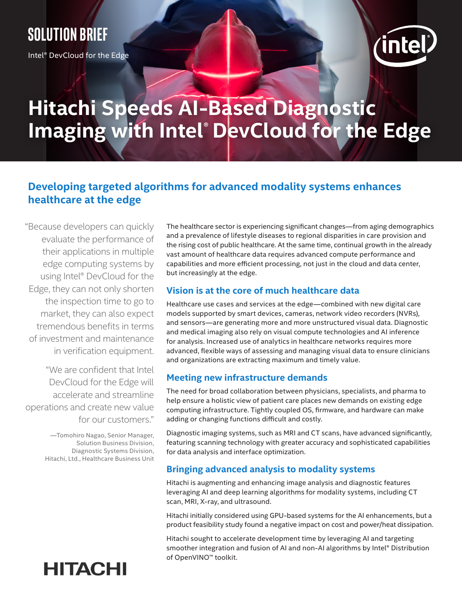### **Solution brief**

Intel® DevCloud for the Edge



# **Hitachi Speeds AI-Based Diagnostic**  Imaging with Intel® DevCloud for the Edge

### **Developing targeted algorithms for advanced modality systems enhances healthcare at the edge**

"Because developers can quickly evaluate the performance of their applications in multiple edge computing systems by using Intel® DevCloud for the Edge, they can not only shorten the inspection time to go to market, they can also expect tremendous benefits in terms of investment and maintenance in verification equipment.

"We are confident that Intel DevCloud for the Edge will accelerate and streamline operations and create new value for our customers."

> —Tomohiro Nagao, Senior Manager, Solution Business Division, Diagnostic Systems Division, Hitachi, Ltd., Healthcare Business Unit

## **HITACHI**

The healthcare sector is experiencing significant changes—from aging demographics and a prevalence of lifestyle diseases to regional disparities in care provision and the rising cost of public healthcare. At the same time, continual growth in the already vast amount of healthcare data requires advanced compute performance and capabilities and more efficient processing, not just in the cloud and data center, but increasingly at the edge.

#### **Vision is at the core of much healthcare data**

Healthcare use cases and services at the edge—combined with new digital care models supported by smart devices, cameras, network video recorders (NVRs), and sensors—are generating more and more unstructured visual data. Diagnostic and medical imaging also rely on visual compute technologies and AI inference for analysis. Increased use of analytics in healthcare networks requires more advanced, flexible ways of assessing and managing visual data to ensure clinicians and organizations are extracting maximum and timely value.

#### **Meeting new infrastructure demands**

The need for broad collaboration between physicians, specialists, and pharma to help ensure a holistic view of patient care places new demands on existing edge computing infrastructure. Tightly coupled OS, firmware, and hardware can make adding or changing functions difficult and costly.

Diagnostic imaging systems, such as MRI and CT scans, have advanced significantly, featuring scanning technology with greater accuracy and sophisticated capabilities for data analysis and interface optimization.

#### **Bringing advanced analysis to modality systems**

Hitachi is augmenting and enhancing image analysis and diagnostic features leveraging AI and deep learning algorithms for modality systems, including CT scan, MRI, X-ray, and ultrasound.

Hitachi initially considered using GPU-based systems for the AI enhancements, but a product feasibility study found a negative impact on cost and power/heat dissipation.

Hitachi sought to accelerate development time by leveraging AI and targeting smoother integration and fusion of AI and non-AI algorithms by Intel® Distribution of OpenVINO™ toolkit.